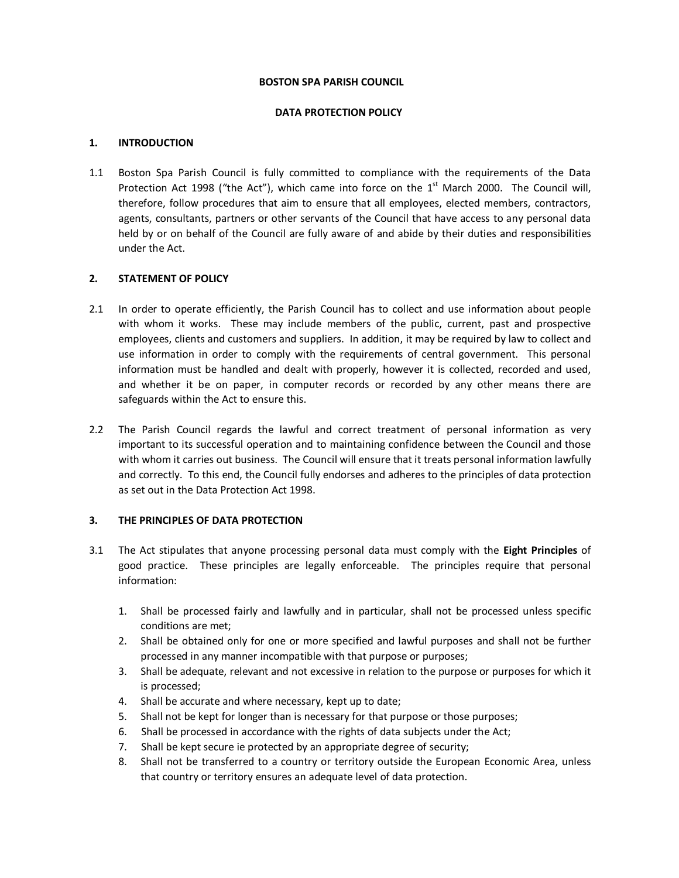#### **BOSTON SPA PARISH COUNCIL**

#### **DATA PROTECTION POLICY**

### **1. INTRODUCTION**

1.1 Boston Spa Parish Council is fully committed to compliance with the requirements of the Data Protection Act 1998 ("the Act"), which came into force on the 1<sup>st</sup> March 2000. The Council will, therefore, follow procedures that aim to ensure that all employees, elected members, contractors, agents, consultants, partners or other servants of the Council that have access to any personal data held by or on behalf of the Council are fully aware of and abide by their duties and responsibilities under the Act.

#### **2. STATEMENT OF POLICY**

- 2.1 In order to operate efficiently, the Parish Council has to collect and use information about people with whom it works. These may include members of the public, current, past and prospective employees, clients and customers and suppliers. In addition, it may be required by law to collect and use information in order to comply with the requirements of central government. This personal information must be handled and dealt with properly, however it is collected, recorded and used, and whether it be on paper, in computer records or recorded by any other means there are safeguards within the Act to ensure this.
- 2.2 The Parish Council regards the lawful and correct treatment of personal information as very important to its successful operation and to maintaining confidence between the Council and those with whom it carries out business. The Council will ensure that it treats personal information lawfully and correctly. To this end, the Council fully endorses and adheres to the principles of data protection as set out in the Data Protection Act 1998.

# **3. THE PRINCIPLES OF DATA PROTECTION**

- 3.1 The Act stipulates that anyone processing personal data must comply with the **Eight Principles** of good practice. These principles are legally enforceable. The principles require that personal information:
	- 1. Shall be processed fairly and lawfully and in particular, shall not be processed unless specific conditions are met;
	- 2. Shall be obtained only for one or more specified and lawful purposes and shall not be further processed in any manner incompatible with that purpose or purposes;
	- 3. Shall be adequate, relevant and not excessive in relation to the purpose or purposes for which it is processed;
	- 4. Shall be accurate and where necessary, kept up to date;
	- 5. Shall not be kept for longer than is necessary for that purpose or those purposes;
	- 6. Shall be processed in accordance with the rights of data subjects under the Act;
	- 7. Shall be kept secure ie protected by an appropriate degree of security;
	- 8. Shall not be transferred to a country or territory outside the European Economic Area, unless that country or territory ensures an adequate level of data protection.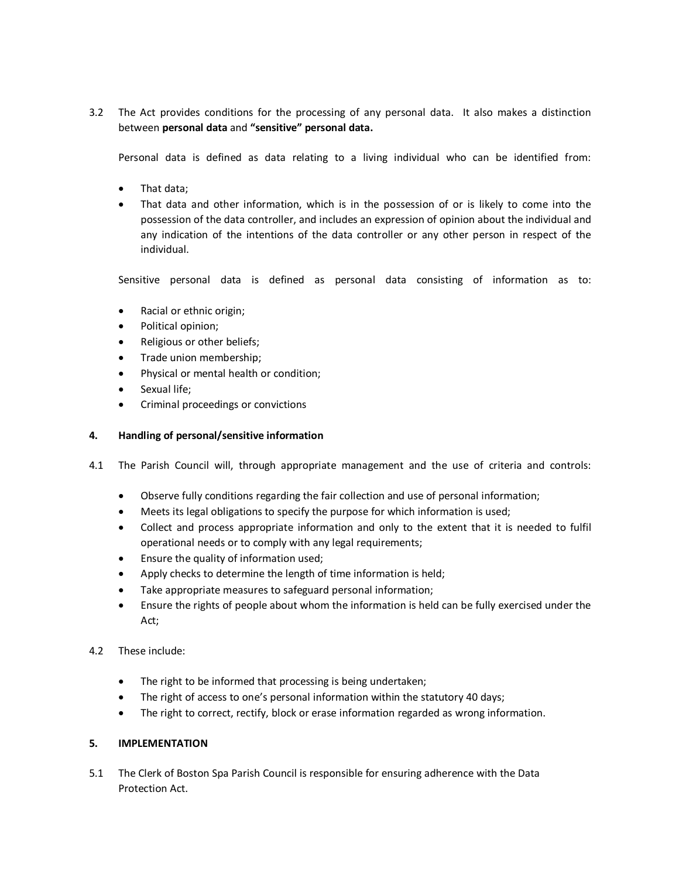3.2 The Act provides conditions for the processing of any personal data. It also makes a distinction between **personal data** and **"sensitive" personal data.**

Personal data is defined as data relating to a living individual who can be identified from:

- · That data;
- · That data and other information, which is in the possession of or is likely to come into the possession of the data controller, and includes an expression of opinion about the individual and any indication of the intentions of the data controller or any other person in respect of the individual.

Sensitive personal data is defined as personal data consisting of information as to:

- · Racial or ethnic origin;
- · Political opinion;
- Religious or other beliefs;
- · Trade union membership;
- · Physical or mental health or condition;
- Sexual life;
- · Criminal proceedings or convictions

## **4. Handling of personal/sensitive information**

- 4.1 The Parish Council will, through appropriate management and the use of criteria and controls:
	- · Observe fully conditions regarding the fair collection and use of personal information;
	- · Meets its legal obligations to specify the purpose for which information is used;
	- · Collect and process appropriate information and only to the extent that it is needed to fulfil operational needs or to comply with any legal requirements;
	- · Ensure the quality of information used;
	- Apply checks to determine the length of time information is held;
	- Take appropriate measures to safeguard personal information;
	- · Ensure the rights of people about whom the information is held can be fully exercised under the Act;
- 4.2 These include:
	- · The right to be informed that processing is being undertaken;
	- · The right of access to one's personal information within the statutory 40 days;
	- The right to correct, rectify, block or erase information regarded as wrong information.

# **5. IMPLEMENTATION**

5.1 The Clerk of Boston Spa Parish Council is responsible for ensuring adherence with the Data Protection Act.